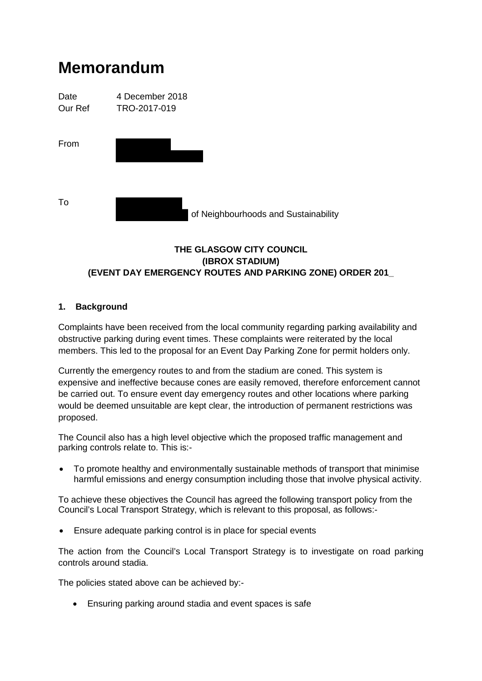# **Memorandum**



## **THE GLASGOW CITY COUNCIL (IBROX STADIUM) (EVENT DAY EMERGENCY ROUTES AND PARKING ZONE) ORDER 201\_**

## **1. Background**

Complaints have been received from the local community regarding parking availability and obstructive parking during event times. These complaints were reiterated by the local members. This led to the proposal for an Event Day Parking Zone for permit holders only.

Currently the emergency routes to and from the stadium are coned. This system is expensive and ineffective because cones are easily removed, therefore enforcement cannot be carried out. To ensure event day emergency routes and other locations where parking would be deemed unsuitable are kept clear, the introduction of permanent restrictions was proposed.

The Council also has a high level objective which the proposed traffic management and parking controls relate to. This is:-

• To promote healthy and environmentally sustainable methods of transport that minimise harmful emissions and energy consumption including those that involve physical activity.

To achieve these objectives the Council has agreed the following transport policy from the Council's Local Transport Strategy, which is relevant to this proposal, as follows:-

• Ensure adequate parking control is in place for special events

The action from the Council's Local Transport Strategy is to investigate on road parking controls around stadia.

The policies stated above can be achieved by:-

• Ensuring parking around stadia and event spaces is safe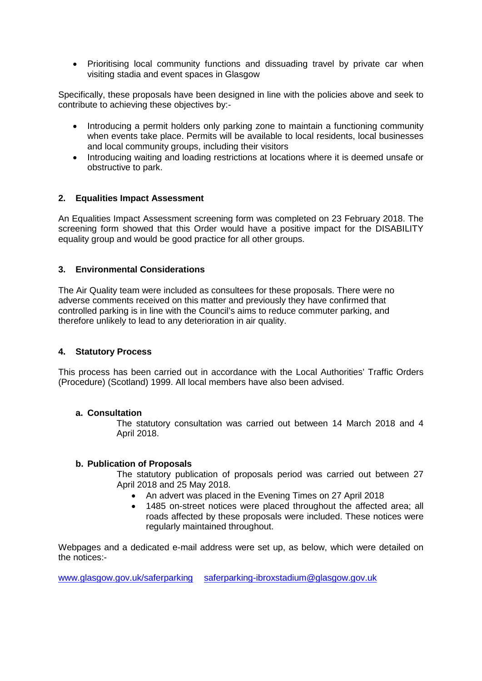• Prioritising local community functions and dissuading travel by private car when visiting stadia and event spaces in Glasgow

Specifically, these proposals have been designed in line with the policies above and seek to contribute to achieving these objectives by:-

- Introducing a permit holders only parking zone to maintain a functioning community when events take place. Permits will be available to local residents, local businesses and local community groups, including their visitors
- Introducing waiting and loading restrictions at locations where it is deemed unsafe or obstructive to park.

## **2. Equalities Impact Assessment**

An Equalities Impact Assessment screening form was completed on 23 February 2018. The screening form showed that this Order would have a positive impact for the DISABILITY equality group and would be good practice for all other groups.

## **3. Environmental Considerations**

The Air Quality team were included as consultees for these proposals. There were no adverse comments received on this matter and previously they have confirmed that controlled parking is in line with the Council's aims to reduce commuter parking, and therefore unlikely to lead to any deterioration in air quality.

## **4. Statutory Process**

This process has been carried out in accordance with the Local Authorities' Traffic Orders (Procedure) (Scotland) 1999. All local members have also been advised.

## **a. Consultation**

The statutory consultation was carried out between 14 March 2018 and 4 April 2018.

## **b. Publication of Proposals**

The statutory publication of proposals period was carried out between 27 April 2018 and 25 May 2018.

- An advert was placed in the Evening Times on 27 April 2018
- 1485 on-street notices were placed throughout the affected area; all roads affected by these proposals were included. These notices were regularly maintained throughout.

Webpages and a dedicated e-mail address were set up, as below, which were detailed on the notices:-

[www.glasgow.gov.uk/saferparking](http://www.glasgow.gov.uk/saferparking) [saferparking-ibroxstadium@glasgow.gov.uk](mailto:saferparking-ibroxstadium@glasgow.gov.uk)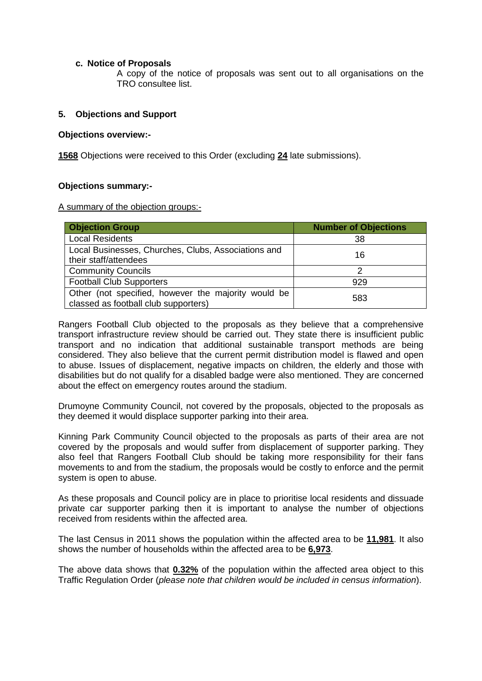#### **c. Notice of Proposals**

A copy of the notice of proposals was sent out to all organisations on the TRO consultee list.

## **5. Objections and Support**

#### **Objections overview:-**

**1568** Objections were received to this Order (excluding **24** late submissions).

#### **Objections summary:-**

A summary of the objection groups:-

| <b>Objection Group</b>                                                                      | <b>Number of Objections</b> |
|---------------------------------------------------------------------------------------------|-----------------------------|
| <b>Local Residents</b>                                                                      | 38                          |
| Local Businesses, Churches, Clubs, Associations and<br>their staff/attendees                | 16                          |
| <b>Community Councils</b>                                                                   |                             |
| <b>Football Club Supporters</b>                                                             | 929                         |
| Other (not specified, however the majority would be<br>classed as football club supporters) | 583                         |

Rangers Football Club objected to the proposals as they believe that a comprehensive transport infrastructure review should be carried out. They state there is insufficient public transport and no indication that additional sustainable transport methods are being considered. They also believe that the current permit distribution model is flawed and open to abuse. Issues of displacement, negative impacts on children, the elderly and those with disabilities but do not qualify for a disabled badge were also mentioned. They are concerned about the effect on emergency routes around the stadium.

Drumoyne Community Council, not covered by the proposals, objected to the proposals as they deemed it would displace supporter parking into their area.

Kinning Park Community Council objected to the proposals as parts of their area are not covered by the proposals and would suffer from displacement of supporter parking. They also feel that Rangers Football Club should be taking more responsibility for their fans movements to and from the stadium, the proposals would be costly to enforce and the permit system is open to abuse.

As these proposals and Council policy are in place to prioritise local residents and dissuade private car supporter parking then it is important to analyse the number of objections received from residents within the affected area.

The last Census in 2011 shows the population within the affected area to be **11,981**. It also shows the number of households within the affected area to be **6,973**.

The above data shows that **0.32%** of the population within the affected area object to this Traffic Regulation Order (*please note that children would be included in census information*).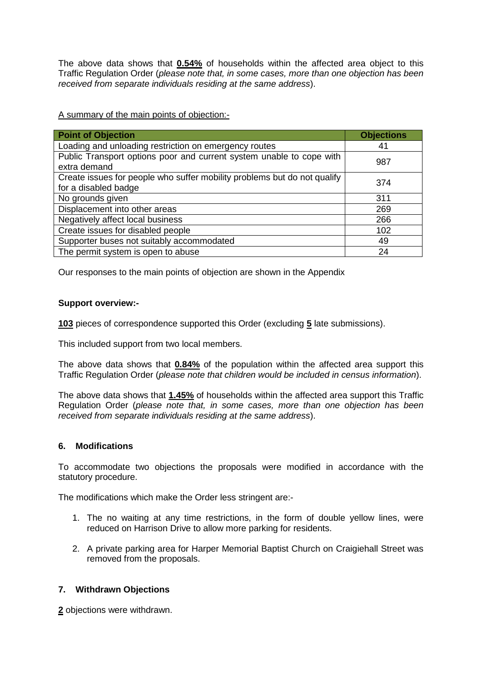The above data shows that **0.54%** of households within the affected area object to this Traffic Regulation Order (*please note that, in some cases, more than one objection has been received from separate individuals residing at the same address*).

A summary of the main points of objection:-

| <b>Point of Objection</b>                                                            | <b>Objections</b> |
|--------------------------------------------------------------------------------------|-------------------|
| Loading and unloading restriction on emergency routes                                | 41                |
| Public Transport options poor and current system unable to cope with<br>extra demand | 987               |
| Create issues for people who suffer mobility problems but do not qualify             | 374               |
| for a disabled badge                                                                 |                   |
| No grounds given                                                                     | 311               |
| Displacement into other areas                                                        | 269               |
| Negatively affect local business                                                     | 266               |
| Create issues for disabled people                                                    | 102               |
| Supporter buses not suitably accommodated                                            | 49                |
| The permit system is open to abuse                                                   | 24                |

Our responses to the main points of objection are shown in the Appendix

#### **Support overview:-**

**103** pieces of correspondence supported this Order (excluding **5** late submissions).

This included support from two local members.

The above data shows that **0.84%** of the population within the affected area support this Traffic Regulation Order (*please note that children would be included in census information*).

The above data shows that **1.45%** of households within the affected area support this Traffic Regulation Order (*please note that, in some cases, more than one objection has been received from separate individuals residing at the same address*).

## **6. Modifications**

To accommodate two objections the proposals were modified in accordance with the statutory procedure.

The modifications which make the Order less stringent are:-

- 1. The no waiting at any time restrictions, in the form of double yellow lines, were reduced on Harrison Drive to allow more parking for residents.
- 2. A private parking area for Harper Memorial Baptist Church on Craigiehall Street was removed from the proposals.

## **7. Withdrawn Objections**

**2** objections were withdrawn.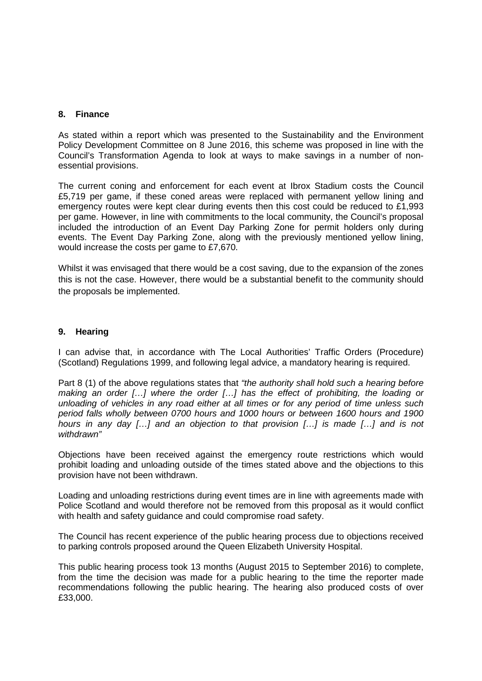#### **8. Finance**

As stated within a report which was presented to the Sustainability and the Environment Policy Development Committee on 8 June 2016, this scheme was proposed in line with the Council's Transformation Agenda to look at ways to make savings in a number of nonessential provisions.

The current coning and enforcement for each event at Ibrox Stadium costs the Council £5,719 per game, if these coned areas were replaced with permanent yellow lining and emergency routes were kept clear during events then this cost could be reduced to £1,993 per game. However, in line with commitments to the local community, the Council's proposal included the introduction of an Event Day Parking Zone for permit holders only during events. The Event Day Parking Zone, along with the previously mentioned yellow lining, would increase the costs per game to £7,670.

Whilst it was envisaged that there would be a cost saving, due to the expansion of the zones this is not the case. However, there would be a substantial benefit to the community should the proposals be implemented.

#### **9. Hearing**

I can advise that, in accordance with The Local Authorities' Traffic Orders (Procedure) (Scotland) Regulations 1999, and following legal advice, a mandatory hearing is required.

Part 8 (1) of the above regulations states that *"the authority shall hold such a hearing before making an order […] where the order […] has the effect of prohibiting, the loading or unloading of vehicles in any road either at all times or for any period of time unless such period falls wholly between 0700 hours and 1000 hours or between 1600 hours and 1900 hours in any day […] and an objection to that provision […] is made […] and is not withdrawn"*

Objections have been received against the emergency route restrictions which would prohibit loading and unloading outside of the times stated above and the objections to this provision have not been withdrawn.

Loading and unloading restrictions during event times are in line with agreements made with Police Scotland and would therefore not be removed from this proposal as it would conflict with health and safety guidance and could compromise road safety.

The Council has recent experience of the public hearing process due to objections received to parking controls proposed around the Queen Elizabeth University Hospital.

This public hearing process took 13 months (August 2015 to September 2016) to complete, from the time the decision was made for a public hearing to the time the reporter made recommendations following the public hearing. The hearing also produced costs of over £33,000.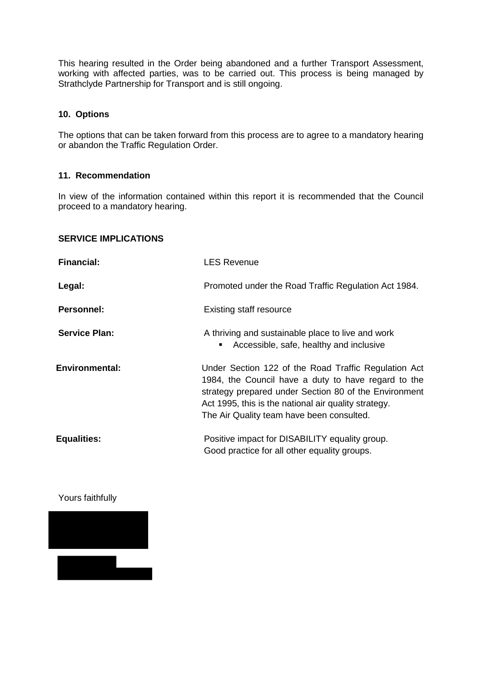This hearing resulted in the Order being abandoned and a further Transport Assessment, working with affected parties, was to be carried out. This process is being managed by Strathclyde Partnership for Transport and is still ongoing.

#### **10. Options**

The options that can be taken forward from this process are to agree to a mandatory hearing or abandon the Traffic Regulation Order.

#### **11. Recommendation**

In view of the information contained within this report it is recommended that the Council proceed to a mandatory hearing.

#### **SERVICE IMPLICATIONS**

| <b>Financial:</b>     | <b>LES Revenue</b>                                                                                                                                                                                                                                                        |
|-----------------------|---------------------------------------------------------------------------------------------------------------------------------------------------------------------------------------------------------------------------------------------------------------------------|
| Legal:                | Promoted under the Road Traffic Regulation Act 1984.                                                                                                                                                                                                                      |
| <b>Personnel:</b>     | <b>Existing staff resource</b>                                                                                                                                                                                                                                            |
| <b>Service Plan:</b>  | A thriving and sustainable place to live and work<br>Accessible, safe, healthy and inclusive<br>$\blacksquare$                                                                                                                                                            |
| <b>Environmental:</b> | Under Section 122 of the Road Traffic Regulation Act<br>1984, the Council have a duty to have regard to the<br>strategy prepared under Section 80 of the Environment<br>Act 1995, this is the national air quality strategy.<br>The Air Quality team have been consulted. |
| <b>Equalities:</b>    | Positive impact for DISABILITY equality group.<br>Good practice for all other equality groups.                                                                                                                                                                            |

Yours faithfully

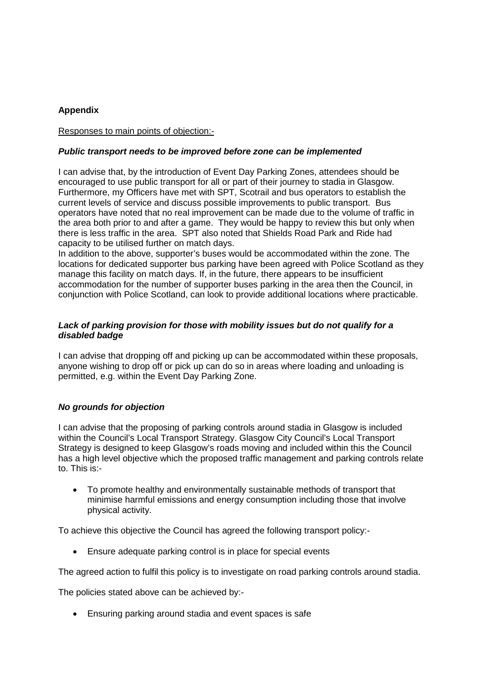## **Appendix**

#### Responses to main points of objection:-

#### *Public transport needs to be improved before zone can be implemented*

I can advise that, by the introduction of Event Day Parking Zones, attendees should be encouraged to use public transport for all or part of their journey to stadia in Glasgow. Furthermore, my Officers have met with SPT, Scotrail and bus operators to establish the current levels of service and discuss possible improvements to public transport. Bus operators have noted that no real improvement can be made due to the volume of traffic in the area both prior to and after a game. They would be happy to review this but only when there is less traffic in the area. SPT also noted that Shields Road Park and Ride had capacity to be utilised further on match days.

In addition to the above, supporter's buses would be accommodated within the zone. The locations for dedicated supporter bus parking have been agreed with Police Scotland as they manage this facility on match days. If, in the future, there appears to be insufficient accommodation for the number of supporter buses parking in the area then the Council, in conjunction with Police Scotland, can look to provide additional locations where practicable.

#### *Lack of parking provision for those with mobility issues but do not qualify for a disabled badge*

I can advise that dropping off and picking up can be accommodated within these proposals, anyone wishing to drop off or pick up can do so in areas where loading and unloading is permitted, e.g. within the Event Day Parking Zone.

## *No grounds for objection*

I can advise that the proposing of parking controls around stadia in Glasgow is included within the Council's Local Transport Strategy. Glasgow City Council's Local Transport Strategy is designed to keep Glasgow's roads moving and included within this the Council has a high level objective which the proposed traffic management and parking controls relate to. This is:-

• To promote healthy and environmentally sustainable methods of transport that minimise harmful emissions and energy consumption including those that involve physical activity.

To achieve this objective the Council has agreed the following transport policy:-

Ensure adequate parking control is in place for special events

The agreed action to fulfil this policy is to investigate on road parking controls around stadia.

The policies stated above can be achieved by:-

• Ensuring parking around stadia and event spaces is safe